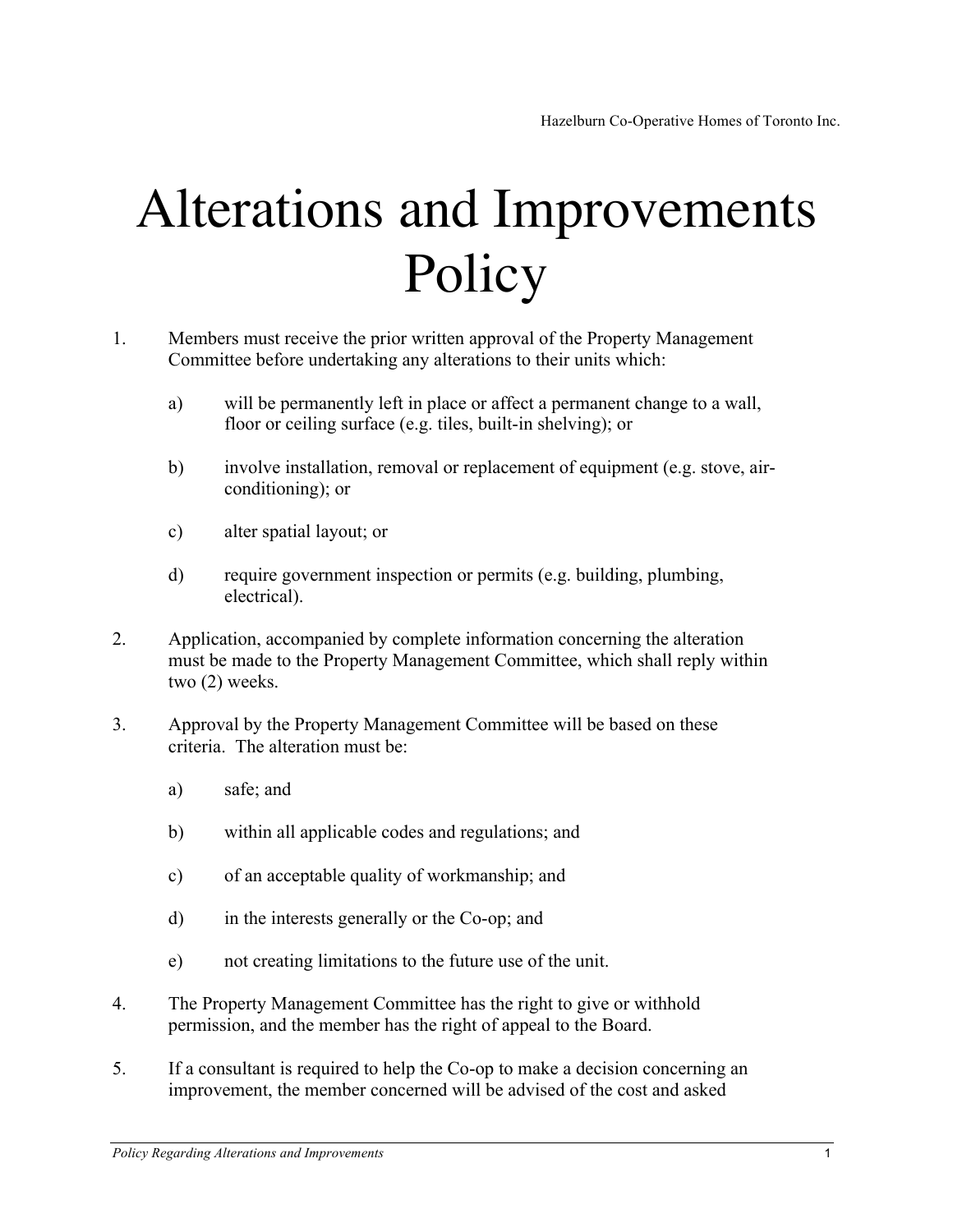## Alterations and Improvements Policy

- 1. Members must receive the prior written approval of the Property Management Committee before undertaking any alterations to their units which:
	- a) will be permanently left in place or affect a permanent change to a wall, floor or ceiling surface (e.g. tiles, built-in shelving); or
	- b) involve installation, removal or replacement of equipment (e.g. stove, airconditioning); or
	- c) alter spatial layout; or
	- d) require government inspection or permits (e.g. building, plumbing, electrical).
- 2. Application, accompanied by complete information concerning the alteration must be made to the Property Management Committee, which shall reply within two (2) weeks.
- 3. Approval by the Property Management Committee will be based on these criteria. The alteration must be:
	- a) safe; and
	- b) within all applicable codes and regulations; and
	- c) of an acceptable quality of workmanship; and
	- d) in the interests generally or the Co-op; and
	- e) not creating limitations to the future use of the unit.
- 4. The Property Management Committee has the right to give or withhold permission, and the member has the right of appeal to the Board.
- 5. If a consultant is required to help the Co-op to make a decision concerning an improvement, the member concerned will be advised of the cost and asked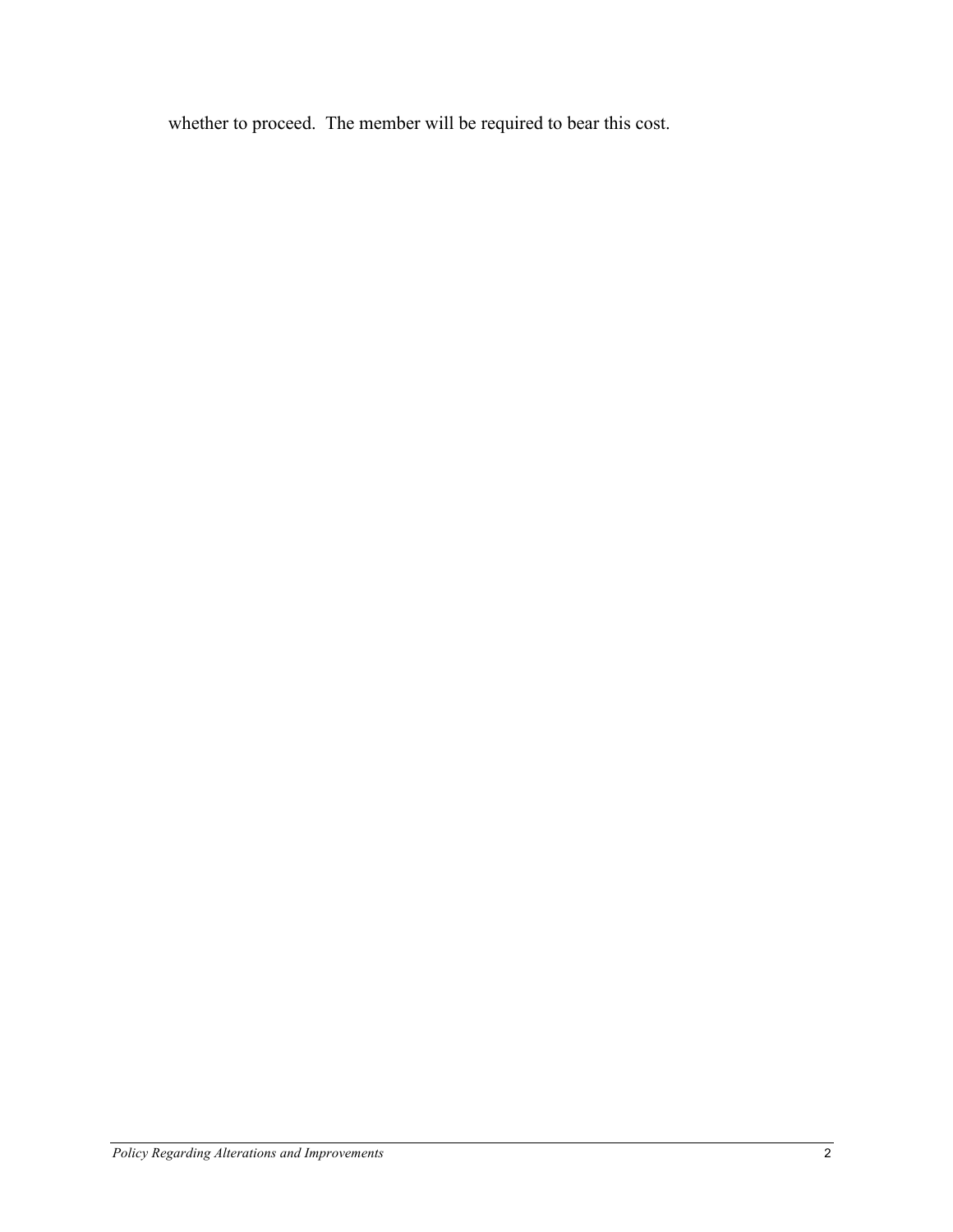whether to proceed. The member will be required to bear this cost.